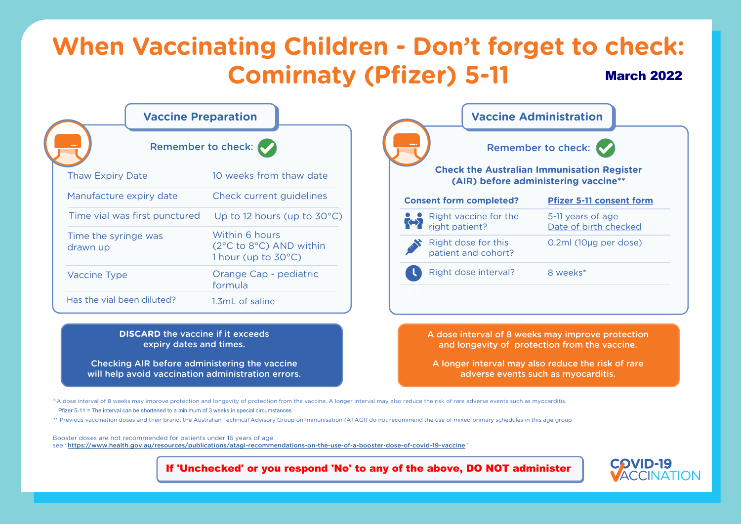

**Lunisation Register** *<u>Ering</u>* vaccine\*\*

5-11 years of age ate of birth checked

2ml (10µg per dose)



**[Pfizer 5-11 consent form](https://www.health.gov.au/resources/publications/covid-19-vaccination-pfizer-information-and-consent-form-for-parents-and-guardians-of-children-aged-5-to-11-years)**

## **DISCARD** the vaccine if it exceeds expiry dates and times.

Checking AIR before administering the vaccine will help avoid vaccination administration errors. A dose interval of 8 weeks may improve protection and longevity of protection from the vaccine.

A longer interval may also reduce the risk of rare adverse events such as myocarditis.

| <b>Vaccine Preparation</b>       |                                                                                           | <b>Vaccine Administration</b>                                                  |                                  |
|----------------------------------|-------------------------------------------------------------------------------------------|--------------------------------------------------------------------------------|----------------------------------|
|                                  | Remember to check:                                                                        |                                                                                | Remember to check:               |
| <b>Thaw Expiry Date</b>          | 10 weeks from thaw date                                                                   | <b>Check the Australian Immunisation I</b><br>(AIR) before administering vacci |                                  |
| Manufacture expiry date          | Check current guidelines                                                                  | <b>Consent form completed?</b>                                                 | Pfizer 5-11 co                   |
| Time vial was first punctured    | Up to 12 hours (up to $30^{\circ}$ C)                                                     | Right vaccine for the<br><b>KHY</b><br>right patient?                          | 5-11 years of a<br>Date of birth |
| Time the syringe was<br>drawn up | Within 6 hours<br>$(2^{\circ}C \text{ to } 8^{\circ}C)$ AND within<br>1 hour (up to 30°C) | Right dose for this<br>patient and cohort?                                     | $0.2ml$ (10µg p                  |
| <b>Vaccine Type</b>              | Orange Cap - pediatric<br>formula                                                         | Right dose interval?                                                           | 8 weeks*                         |
| Has the vial been diluted?       | 1.3mL of saline                                                                           |                                                                                |                                  |

## **When Vaccinating Children - Don't forget to check: Comirnaty (Pfizer) 5-11** March 2022

\* A dose interval of 8 weeks may improve protection and longevity of protection from the vaccine. A longer interval may also reduce the risk of rare adverse events such as myocarditis. Pfizer 5-11 = The interval can be shortened to a minimum of 3 weeks in special circumstances

\*\* Previous vaccination doses and their brand; the Australian Technical Advisory Group on Immunisation (ATAGI) do not recommend the use of mixed primary schedules in this age group

Booster doses are not recommended for patients under 16 years of age see "<https://www.health.gov.au/resources/publications/atagi-recommendations-on-the-use-of-a-booster-dose-of-covid-19-vaccine>"

If 'Unchecked' or you respond 'No' to any of the above, DO NOT administer